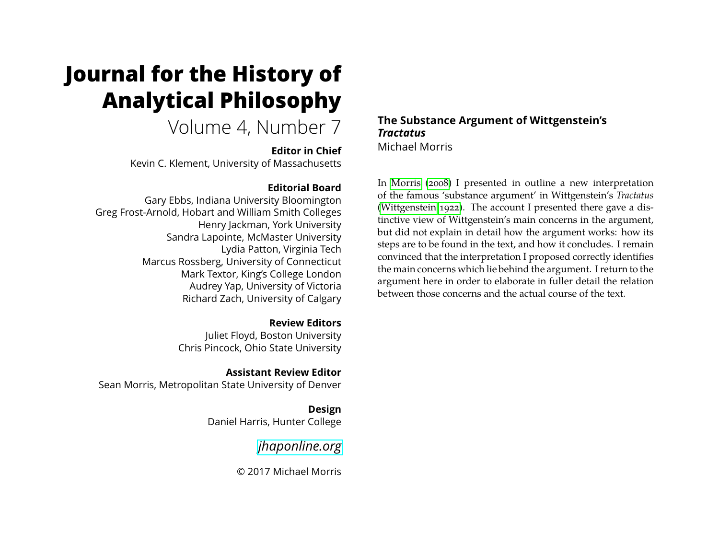# <span id="page-0-0"></span>**Journal for the History of Analytical Philosophy**

Volume 4, Number 7

**Editor in Chief** Kevin C. Klement, University of Massachusetts

#### **Editorial Board**

Gary Ebbs, Indiana University Bloomington Greg Frost-Arnold, Hobart and William Smith Colleges Henry Jackman, York University Sandra Lapointe, McMaster University Lydia Patton, Virginia Tech Marcus Rossberg, University of Connecticut Mark Textor, King's College London Audrey Yap, University of Victoria Richard Zach, University of Calgary

> **Review Editors** Juliet Floyd, Boston University Chris Pincock, Ohio State University

**Assistant Review Editor** Sean Morris, Metropolitan State University of Denver

> **Design** Daniel Harris, Hunter College

> > *[jhaponline.org](https://jhaponline.org)*

© 2017 Michael Morris

#### **The Substance Argument of Wittgenstein's** *Tractatus* Michael Morris

In [Morris \(2008\)](#page-13-0) I presented in outline a new interpretation of the famous 'substance argument' in Wittgenstein's *Tractatus* [\(Wittgenstein 1922\)](#page-13-1). The account I presented there gave a distinctive view of Wittgenstein's main concerns in the argument, but did not explain in detail how the argument works: how its steps are to be found in the text, and how it concludes. I remain convinced that the interpretation I proposed correctly identifies the main concerns which lie behind the argument. I return to the argument here in order to elaborate in fuller detail the relation between those concerns and the actual course of the text.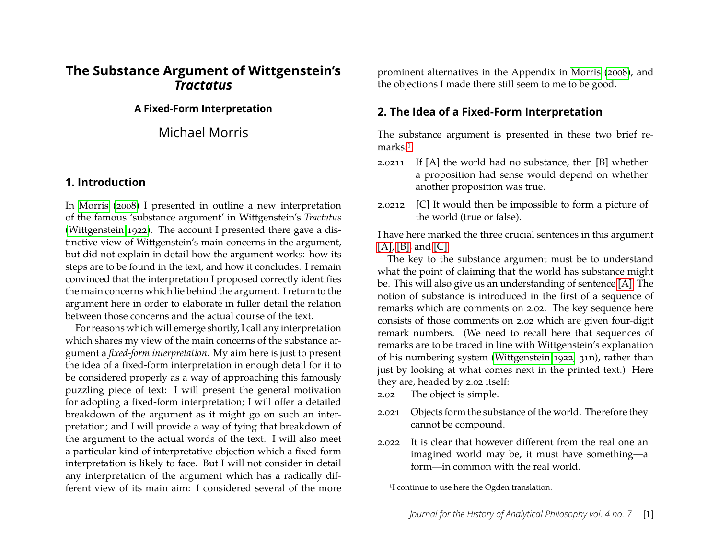## **The Substance Argument of Wittgenstein's** *Tractatus*

#### **A Fixed-Form Interpretation**

Michael Morris

#### **1. Introduction**

In [Morris \(2008\)](#page-13-0) I presented in outline a new interpretation of the famous 'substance argument' in Wittgenstein's *Tractatus* [\(Wittgenstein 1922\)](#page-13-1). The account I presented there gave a distinctive view of Wittgenstein's main concerns in the argument, but did not explain in detail how the argument works: how its steps are to be found in the text, and how it concludes. I remain convinced that the interpretation I proposed correctly identifies the main concerns which lie behind the argument. I return to the argument here in order to elaborate in fuller detail the relation between those concerns and the actual course of the text.

For reasons which will emerge shortly, I call any interpretation which shares my view of the main concerns of the substance argument a *fixed-form interpretation*. My aim here is just to present the idea of a fixed-form interpretation in enough detail for it to be considered properly as a way of approaching this famously puzzling piece of text: I will present the general motivation for adopting a fixed-form interpretation; I will offer a detailed breakdown of the argument as it might go on such an interpretation; and I will provide a way of tying that breakdown of the argument to the actual words of the text. I will also meet a particular kind of interpretative objection which a fixed-form interpretation is likely to face. But I will not consider in detail any interpretation of the argument which has a radically different view of its main aim: I considered several of the more prominent alternatives in the Appendix in [Morris \(2008\)](#page-13-0), and the objections I made there still seem to me to be good.

## **2. The Idea of a Fixed-Form Interpretation**

The substance argument is presented in these two brief re-marks:<sup>[1](#page-1-0)</sup>

- <span id="page-1-2"></span><span id="page-1-1"></span>2.0211 If [A] the world had no substance, then [B] whether a proposition had sense would depend on whether another proposition was true.
- <span id="page-1-3"></span>2.0212 [C] It would then be impossible to form a picture of the world (true or false).

I have here marked the three crucial sentences in this argument  $[A]$ ,  $[B]$ , and  $[C]$ .

The key to the substance argument must be to understand what the point of claiming that the world has substance might be. This will also give us an understanding of sentence [\[A\].](#page-1-1) The notion of substance is introduced in the first of a sequence of remarks which are comments on 2.02. The key sequence here consists of those comments on 2.02 which are given four-digit remark numbers. (We need to recall here that sequences of remarks are to be traced in line with Wittgenstein's explanation of his numbering system [\(Wittgenstein 1922,](#page-13-1) 31n), rather than just by looking at what comes next in the printed text.) Here they are, headed by 2.02 itself:

- 2.02 The object is simple.
- 2.021 Objects form the substance of the world. Therefore they cannot be compound.
- 2.022 It is clear that however different from the real one an imagined world may be, it must have something—a form—in common with the real world.

<span id="page-1-0"></span><sup>&</sup>lt;sup>1</sup>I continue to use here the Ogden translation.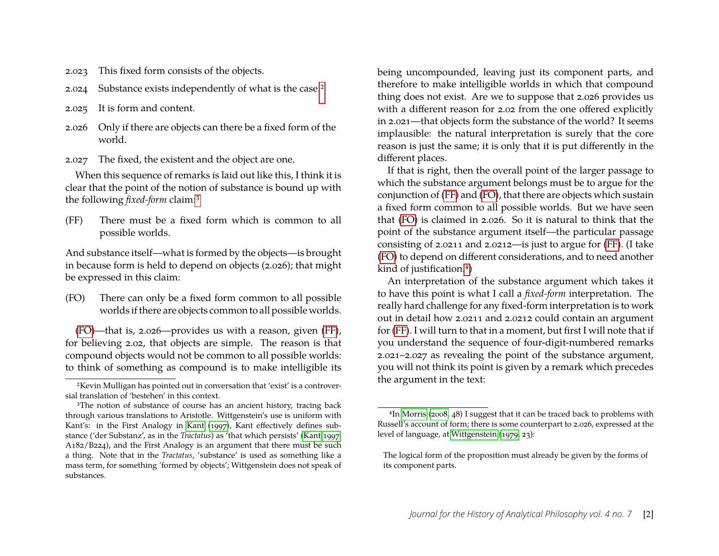- 2.023 This fixed form consists of the objects.
- 2.024 Substance exists independently of what is the case.[2](#page-0-0)
- 2.025 It is form and content.
- 2.026 Only if there are objects can there be a fixed form of the world.
- 2.027 The fixed, the existent and the object are one.

When this sequence of remarks is laid out like this, I think it is clear that the point of the notion of substance is bound up with the following *fixed-form* claim:[3](#page-2-0)

<span id="page-2-2"></span>(FF) There must be a fixed form which is common to all possible worlds.

And substance itself—what is formed by the objects—is brought in because form is held to depend on objects (2.026); that might be expressed in this claim:

<span id="page-2-1"></span>(FO) There can only be a fixed form common to all possible worlds if there are objects common to all possible worlds.

[\(FO\)](#page-2-1)—that is, 2.026—provides us with a reason, given [\(FF\)](#page-2-2), for believing 2.02, that objects are simple. The reason is that compound objects would not be common to all possible worlds: to think of something as compound is to make intelligible its

being uncompounded, leaving just its component parts, and therefore to make intelligible worlds in which that compound thing does not exist. Are we to suppose that 2.026 provides us with a different reason for 2.02 from the one offered explicitly in 2.021—that objects form the substance of the world? It seems implausible: the natural interpretation is surely that the core reason is just the same; it is only that it is put differently in the different places.

If that is right, then the overall point of the larger passage to which the substance argument belongs must be to argue for the conjunction of [\(FF\)](#page-2-2) and [\(FO\)](#page-2-1), that there are objects which sustain a fixed form common to all possible worlds. But we have seen that [\(FO\)](#page-2-1) is claimed in 2.026. So it is natural to think that the point of the substance argument itself—the particular passage consisting of 2.0211 and 2.0212—is just to argue for [\(FF\)](#page-2-2). (I take [\(FO\)](#page-2-1) to depend on different considerations, and to need another kind of justification.[4](#page-2-3))

An interpretation of the substance argument which takes it to have this point is what I call a *fixed-form* interpretation. The really hard challenge for any fixed-form interpretation is to work out in detail how 2.0211 and 2.0212 could contain an argument for [\(FF\)](#page-2-2). I will turn to that in a moment, but first I will note that if you understand the sequence of four-digit-numbered remarks 2.021–2.027 as revealing the point of the substance argument, you will not think its point is given by a remark which precedes the argument in the text:

<sup>2</sup>Kevin Mulligan has pointed out in conversation that 'exist' is a controversial translation of 'bestehen' in this context.

<span id="page-2-0"></span><sup>&</sup>lt;sup>3</sup>The notion of substance of course has an ancient history, tracing back through various translations to Aristotle. Wittgenstein's use is uniform with Kant's: in the First Analogy in [Kant \(1997\)](#page-13-2), Kant effectively defines substance ('der Substanz', as in the *Tractatus*) as 'that which persists' [\(Kant 1997,](#page-13-2) A182/B224), and the First Analogy is an argument that there must be such a thing. Note that in the *Tractatus*, 'substance' is used as something like a mass term, for something 'formed by objects'; Wittgenstein does not speak of substances.

<span id="page-2-3"></span><sup>4</sup>In [Morris \(2008,](#page-13-0) 48) I suggest that it can be traced back to problems with Russell's account of form; there is some counterpart to 2.026, expressed at the level of language, at [Wittgenstein \(1979,](#page-13-3) 23):

The logical form of the proposition must already be given by the forms of its component parts.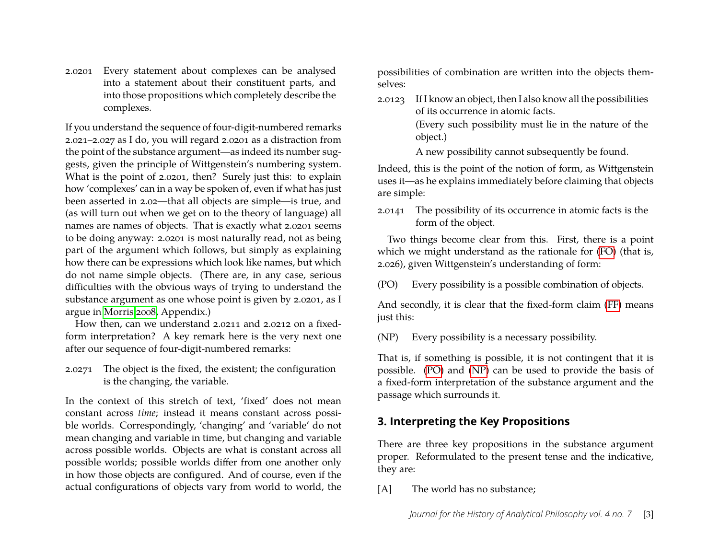2.0201 Every statement about complexes can be analysed into a statement about their constituent parts, and into those propositions which completely describe the complexes.

If you understand the sequence of four-digit-numbered remarks 2.021–2.027 as I do, you will regard 2.0201 as a distraction from the point of the substance argument—as indeed its number suggests, given the principle of Wittgenstein's numbering system. What is the point of 2.0201, then? Surely just this: to explain how 'complexes' can in a way be spoken of, even if what has just been asserted in 2.02—that all objects are simple—is true, and (as will turn out when we get on to the theory of language) all names are names of objects. That is exactly what 2.0201 seems to be doing anyway: 2.0201 is most naturally read, not as being part of the argument which follows, but simply as explaining how there can be expressions which look like names, but which do not name simple objects. (There are, in any case, serious difficulties with the obvious ways of trying to understand the substance argument as one whose point is given by 2.0201, as I argue in [Morris 2008,](#page-13-0) Appendix.)

How then, can we understand 2.0211 and 2.0212 on a fixedform interpretation? A key remark here is the very next one after our sequence of four-digit-numbered remarks:

2.0271 The object is the fixed, the existent; the configuration is the changing, the variable.

In the context of this stretch of text, 'fixed' does not mean constant across *time*; instead it means constant across possible worlds. Correspondingly, 'changing' and 'variable' do not mean changing and variable in time, but changing and variable across possible worlds. Objects are what is constant across all possible worlds; possible worlds differ from one another only in how those objects are configured. And of course, even if the actual configurations of objects vary from world to world, the possibilities of combination are written into the objects themselves:

2.0123 If I know an object, then I also know all the possibilities of its occurrence in atomic facts. (Every such possibility must lie in the nature of the

object.) A new possibility cannot subsequently be found.

Indeed, this is the point of the notion of form, as Wittgenstein uses it—as he explains immediately before claiming that objects are simple:

2.0141 The possibility of its occurrence in atomic facts is the form of the object.

Two things become clear from this. First, there is a point which we might understand as the rationale for [\(FO\)](#page-2-1) (that is, 2.026), given Wittgenstein's understanding of form:

<span id="page-3-0"></span>(PO) Every possibility is a possible combination of objects.

And secondly, it is clear that the fixed-form claim [\(FF\)](#page-2-2) means just this:

<span id="page-3-1"></span>(NP) Every possibility is a necessary possibility.

That is, if something is possible, it is not contingent that it is possible. [\(PO\)](#page-3-0) and [\(NP\)](#page-3-1) can be used to provide the basis of a fixed-form interpretation of the substance argument and the passage which surrounds it.

## **3. Interpreting the Key Propositions**

There are three key propositions in the substance argument proper. Reformulated to the present tense and the indicative, they are:

<span id="page-3-2"></span>[A] The world has no substance;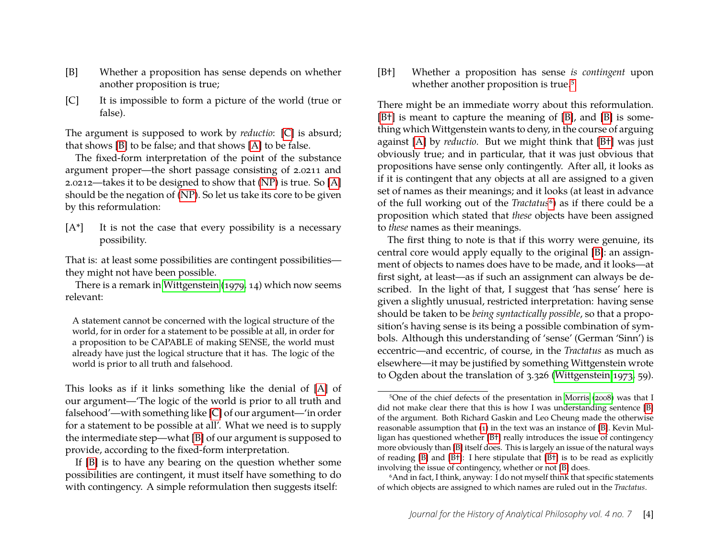- <span id="page-4-1"></span>[B] Whether a proposition has sense depends on whether another proposition is true;
- <span id="page-4-0"></span>[C] It is impossible to form a picture of the world (true or false).

The argument is supposed to work by *reductio*: [\[C\]](#page-4-0) is absurd; that shows [\[B\]](#page-4-1) to be false; and that shows [\[A\]](#page-3-2) to be false.

The fixed-form interpretation of the point of the substance argument proper—the short passage consisting of 2.0211 and 2.0212—takes it to be designed to show that [\(NP\)](#page-3-1) is true. So [\[A\]](#page-3-2) should be the negation of [\(NP\)](#page-3-1). So let us take its core to be given by this reformulation:

<span id="page-4-5"></span> $[A^*]$  It is not the case that every possibility is a necessary possibility.

That is: at least some possibilities are contingent possibilities they might not have been possible.

There is a remark in [Wittgenstein \(1979,](#page-13-3) 14) which now seems relevant:

A statement cannot be concerned with the logical structure of the world, for in order for a statement to be possible at all, in order for a proposition to be CAPABLE of making SENSE, the world must already have just the logical structure that it has. The logic of the world is prior to all truth and falsehood.

This looks as if it links something like the denial of [\[A\]](#page-3-2) of our argument—'The logic of the world is prior to all truth and falsehood'—with something like [\[C\]](#page-4-0) of our argument—'in order for a statement to be possible at all'. What we need is to supply the intermediate step—what [\[B\]](#page-4-1) of our argument is supposed to provide, according to the fixed-form interpretation.

<span id="page-4-3"></span>[B†] Whether a proposition has sense *is contingent* upon whether another proposition is true.<sup>[5](#page-4-2)</sup>

There might be an immediate worry about this reformulation. [\[B](#page-4-3)<sup>†</sup>] is meant to capture the meaning of [\[B\]](#page-4-1), and [B] is something which Wittgenstein wants to deny, in the course of arguing against [\[A\]](#page-3-2) by *reductio*. But we might think that [\[B](#page-4-3)†] was just obviously true; and in particular, that it was just obvious that propositions have sense only contingently. After all, it looks as if it is contingent that any objects at all are assigned to a given set of names as their meanings; and it looks (at least in advance of the full working out of the *Tractatus*<sup>[6](#page-4-4)</sup>) as if there could be a proposition which stated that *these* objects have been assigned to *these* names as their meanings.

The first thing to note is that if this worry were genuine, its central core would apply equally to the original [\[B\]](#page-4-1): an assignment of objects to names does have to be made, and it looks—at first sight, at least—as if such an assignment can always be described. In the light of that, I suggest that 'has sense' here is given a slightly unusual, restricted interpretation: having sense should be taken to be *being syntactically possible*, so that a proposition's having sense is its being a possible combination of symbols. Although this understanding of 'sense' (German 'Sinn') is eccentric—and eccentric, of course, in the *Tractatus* as much as elsewhere—it may be justified by something Wittgenstein wrote to Ogden about the translation of 3.326 [\(Wittgenstein 1973,](#page-13-4) 59).

If [\[B\]](#page-4-1) is to have any bearing on the question whether some possibilities are contingent, it must itself have something to do with contingency. A simple reformulation then suggests itself:

<span id="page-4-2"></span><sup>5</sup>One of the chief defects of the presentation in [Morris \(2008\)](#page-13-0) was that I did not make clear there that this is how I was understanding sentence [\[B\]](#page-4-1) of the argument. Both Richard Gaskin and Leo Cheung made the otherwise reasonable assumption that [\(1\)](#page-7-0) in the text was an instance of [\[B\]](#page-4-1). Kevin Mulligan has questioned whether [\[B](#page-4-3)†] really introduces the issue of contingency more obviously than [\[B\]](#page-4-1) itself does. This is largely an issue of the natural ways of reading  $[B]$  and  $[B^+]$ : I here stipulate that  $[B^+]$  is to be read as explicitly involving the issue of contingency, whether or not [\[B\]](#page-4-1) does.

<span id="page-4-4"></span><sup>&</sup>lt;sup>6</sup>And in fact, I think, anyway: I do not myself think that specific statements of which objects are assigned to which names are ruled out in the *Tractatus*.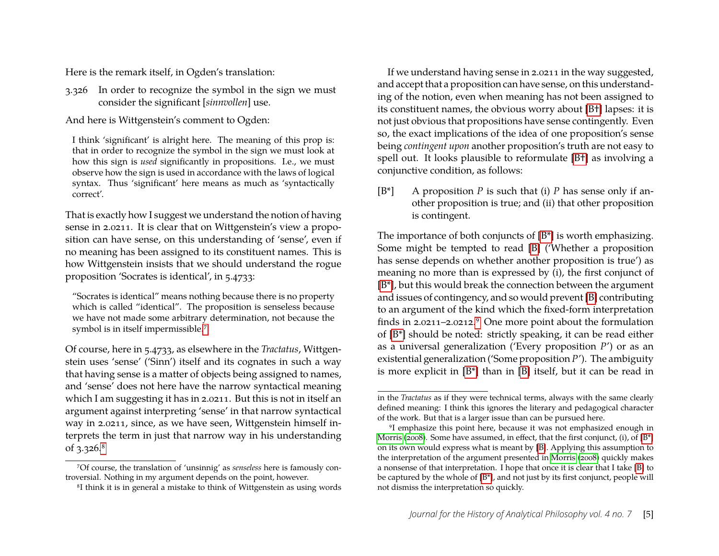Here is the remark itself, in Ogden's translation:

3.326 In order to recognize the symbol in the sign we must consider the significant [*sinnvollen*] use.

And here is Wittgenstein's comment to Ogden:

I think 'significant' is alright here. The meaning of this prop is: that in order to recognize the symbol in the sign we must look at how this sign is *used* significantly in propositions. I.e., we must observe how the sign is used in accordance with the laws of logical syntax. Thus 'significant' here means as much as 'syntactically correct'.

That is exactly how I suggest we understand the notion of having sense in 2.0211. It is clear that on Wittgenstein's view a proposition can have sense, on this understanding of 'sense', even if no meaning has been assigned to its constituent names. This is how Wittgenstein insists that we should understand the rogue proposition 'Socrates is identical', in 5.4733:

"Socrates is identical" means nothing because there is no property which is called "identical". The proposition is senseless because we have not made some arbitrary determination, not because the symbol is in itself impermissible.[7](#page-5-0)

Of course, here in 5.4733, as elsewhere in the *Tractatus*, Wittgenstein uses 'sense' ('Sinn') itself and its cognates in such a way that having sense is a matter of objects being assigned to names, and 'sense' does not here have the narrow syntactical meaning which I am suggesting it has in 2.0211. But this is not in itself an argument against interpreting 'sense' in that narrow syntactical way in 2.0211, since, as we have seen, Wittgenstein himself interprets the term in just that narrow way in his understanding of 3.326.[8](#page-5-1)

If we understand having sense in 2.0211 in the way suggested, and accept that a proposition can have sense, on this understanding of the notion, even when meaning has not been assigned to its constituent names, the obvious worry about [\[B](#page-4-3)†] lapses: it is not just obvious that propositions have sense contingently. Even so, the exact implications of the idea of one proposition's sense being *contingent upon* another proposition's truth are not easy to spell out. It looks plausible to reformulate [\[B](#page-4-3)†] as involving a conjunctive condition, as follows:

<span id="page-5-2"></span>[B\*] A proposition *P* is such that (i) *P* has sense only if another proposition is true; and (ii) that other proposition is contingent.

The importance of both conjuncts of [\[B\\*\]](#page-5-2) is worth emphasizing. Some might be tempted to read [\[B\]](#page-4-1) ('Whether a proposition has sense depends on whether another proposition is true') as meaning no more than is expressed by (i), the first conjunct of [\[B\\*\]](#page-5-2), but this would break the connection between the argument and issues of contingency, and so would prevent [\[B\]](#page-4-1) contributing to an argument of the kind which the fixed-form interpretation finds in 2.0211–2.0212.[9](#page-5-3) One more point about the formulation of [\[B\\*\]](#page-5-2) should be noted: strictly speaking, it can be read either as a universal generalization ('Every proposition *P*') or as an existential generalization ('Some proposition *P*'). The ambiguity is more explicit in [\[B\\*\]](#page-5-2) than in [\[B\]](#page-4-1) itself, but it can be read in

<span id="page-5-0"></span><sup>7</sup>Of course, the translation of 'unsinnig' as *senseless* here is famously controversial. Nothing in my argument depends on the point, however.

<span id="page-5-1"></span><sup>8</sup>I think it is in general a mistake to think of Wittgenstein as using words

in the *Tractatus* as if they were technical terms, always with the same clearly defined meaning: I think this ignores the literary and pedagogical character of the work. But that is a larger issue than can be pursued here.

<span id="page-5-3"></span><sup>9</sup>I emphasize this point here, because it was not emphasized enough in [Morris \(2008\)](#page-13-0). Some have assumed, in effect, that the first conjunct, (i), of [\[B\\*\]](#page-5-2) on its own would express what is meant by [\[B\]](#page-4-1). Applying this assumption to the interpretation of the argument presented in [Morris \(2008\)](#page-13-0) quickly makes a nonsense of that interpretation. I hope that once it is clear that I take [\[B\]](#page-4-1) to be captured by the whole of [\[B\\*\]](#page-5-2), and not just by its first conjunct, people will not dismiss the interpretation so quickly.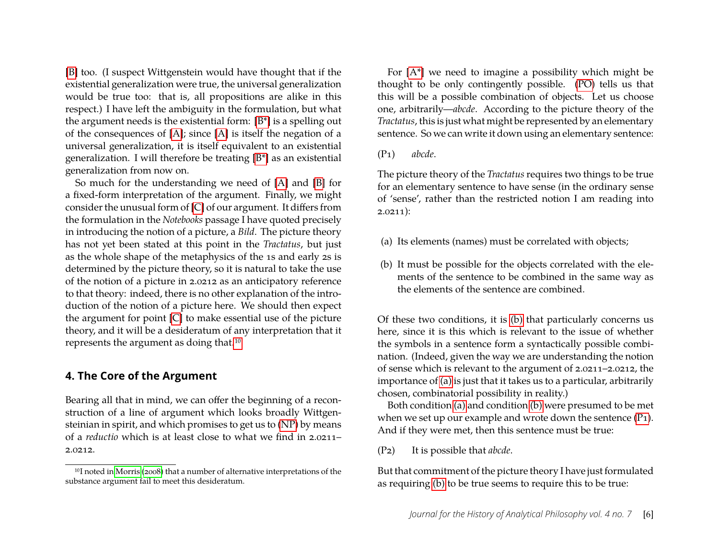[\[B\]](#page-4-1) too. (I suspect Wittgenstein would have thought that if the existential generalization were true, the universal generalization would be true too: that is, all propositions are alike in this respect.) I have left the ambiguity in the formulation, but what the argument needs is the existential form: [\[B\\*\]](#page-5-2) is a spelling out of the consequences of [\[A\]](#page-3-2); since [\[A\]](#page-3-2) is itself the negation of a universal generalization, it is itself equivalent to an existential generalization. I will therefore be treating [\[B\\*\]](#page-5-2) as an existential generalization from now on.

So much for the understanding we need of [\[A\]](#page-3-2) and [\[B\]](#page-4-1) for a fixed-form interpretation of the argument. Finally, we might consider the unusual form of [\[C\]](#page-4-0) of our argument. It differs from the formulation in the *Notebooks* passage I have quoted precisely in introducing the notion of a picture, a *Bild*. The picture theory has not yet been stated at this point in the *Tractatus*, but just as the whole shape of the metaphysics of the 1s and early 2s is determined by the picture theory, so it is natural to take the use of the notion of a picture in 2.0212 as an anticipatory reference to that theory: indeed, there is no other explanation of the introduction of the notion of a picture here. We should then expect the argument for point [\[C\]](#page-4-0) to make essential use of the picture theory, and it will be a desideratum of any interpretation that it represents the argument as doing that.[10](#page-6-1)

#### **4. The Core of the Argument**

Bearing all that in mind, we can offer the beginning of a reconstruction of a line of argument which looks broadly Wittgensteinian in spirit, and which promises to get us to [\(NP\)](#page-3-1) by means of a *reductio* which is at least close to what we find in 2.0211– 2.0212.

For [\[A\\*\]](#page-4-5) we need to imagine a possibility which might be thought to be only contingently possible. [\(PO\)](#page-3-0) tells us that this will be a possible combination of objects. Let us choose one, arbitrarily—*abcde*. According to the picture theory of the *Tractatus*, this is just what might be represented by an elementary sentence. So we can write it down using an elementary sentence:

<span id="page-6-4"></span>(P1) *abcde*.

The picture theory of the *Tractatus* requires two things to be true for an elementary sentence to have sense (in the ordinary sense of 'sense', rather than the restricted notion I am reading into  $2.0211$ :

- <span id="page-6-3"></span><span id="page-6-2"></span>(a) Its elements (names) must be correlated with objects;
- (b) It must be possible for the objects correlated with the elements of the sentence to be combined in the same way as the elements of the sentence are combined.

Of these two conditions, it is [\(b\)](#page-6-2) that particularly concerns us here, since it is this which is relevant to the issue of whether the symbols in a sentence form a syntactically possible combination. (Indeed, given the way we are understanding the notion of sense which is relevant to the argument of 2.0211–2.0212, the importance of [\(a\)](#page-6-3) is just that it takes us to a particular, arbitrarily chosen, combinatorial possibility in reality.)

Both condition [\(a\)](#page-6-3) and condition [\(b\)](#page-6-2) were presumed to be met when we set up our example and wrote down the sentence (P<sub>1</sub>). And if they were met, then this sentence must be true:

<span id="page-6-5"></span>(P2) It is possible that *abcde*.

<span id="page-6-0"></span>But that commitment of the picture theory I have just formulated as requiring [\(b\)](#page-6-2) to be true seems to require this to be true:

<span id="page-6-1"></span><sup>10</sup>I noted in [Morris \(2008\)](#page-13-0) that a number of alternative interpretations of the substance argument fail to meet this desideratum.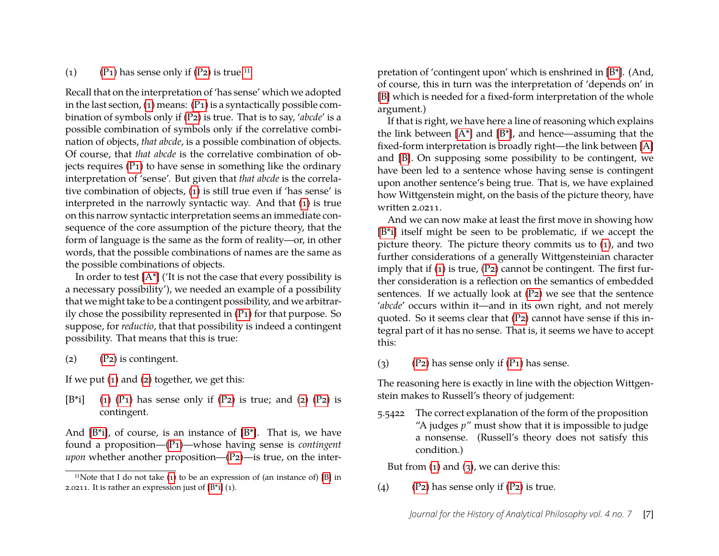#### <span id="page-7-0"></span>(1) (P<sub>1</sub>) has sense only if  $(P_2)$  is true.<sup>[11](#page-7-1)</sup>

Recall that on the interpretation of 'has sense' which we adopted in the last section, [\(1\)](#page-7-0) means: [\(P1\)](#page-6-4) is a syntactically possible combination of symbols only if [\(P2\)](#page-6-5) is true. That is to say, '*abcde*' is a possible combination of symbols only if the correlative combination of objects, *that abcde*, is a possible combination of objects. Of course, that *that abcde* is the correlative combination of objects requires  $(P_1)$  to have sense in something like the ordinary interpretation of 'sense'. But given that *that abcde* is the correlative combination of objects, [\(1\)](#page-7-0) is still true even if 'has sense' is interpreted in the narrowly syntactic way. And that [\(1\)](#page-7-0) is true on this narrow syntactic interpretation seems an immediate consequence of the core assumption of the picture theory, that the form of language is the same as the form of reality—or, in other words, that the possible combinations of names are the same as the possible combinations of objects.

In order to test  $[A^*]$  ('It is not the case that every possibility is a necessary possibility'), we needed an example of a possibility that we might take to be a contingent possibility, and we arbitrarily chose the possibility represented in [\(P1\)](#page-6-4) for that purpose. So suppose, for *reductio*, that that possibility is indeed a contingent possibility. That means that this is true:

<span id="page-7-3"></span><span id="page-7-2"></span>(2) [\(P2\)](#page-6-5) is contingent.

If we put  $(1)$  and  $(2)$  together, we get this:

<span id="page-7-4"></span> $[B^*i]$  [\(1\)](#page-7-0) [\(P1\)](#page-6-4) has sense only if [\(P2\)](#page-6-5) is true; and [\(2\)](#page-7-2) (P2) is contingent.

And  $[B^*i]$ , of course, is an instance of  $[B^*]$ . That is, we have found a proposition—[\(P1\)](#page-6-4)—whose having sense is *contingent upon* whether another proposition—(P<sub>2</sub>)—is true, on the interpretation of 'contingent upon' which is enshrined in [\[B\\*\]](#page-5-2). (And, of course, this in turn was the interpretation of 'depends on' in [\[B\]](#page-4-1) which is needed for a fixed-form interpretation of the whole argument.)

If that is right, we have here a line of reasoning which explains the link between  $[A^*]$  and  $[B^*]$ , and hence—assuming that the fixed-form interpretation is broadly right—the link between [\[A\]](#page-3-2) and [\[B\]](#page-4-1). On supposing some possibility to be contingent, we have been led to a sentence whose having sense is contingent upon another sentence's being true. That is, we have explained how Wittgenstein might, on the basis of the picture theory, have written 2.0211.

And we can now make at least the first move in showing how [\[B\\*i\]](#page-7-4) itself might be seen to be problematic, if we accept the picture theory. The picture theory commits us to [\(1\)](#page-7-0), and two further considerations of a generally Wittgensteinian character imply that if [\(1\)](#page-7-0) is true, [\(P2\)](#page-6-5) cannot be contingent. The first further consideration is a reflection on the semantics of embedded sentences. If we actually look at [\(P2\)](#page-6-5) we see that the sentence '*abcde*' occurs within it—and in its own right, and not merely quoted. So it seems clear that [\(P2\)](#page-6-5) cannot have sense if this integral part of it has no sense. That is, it seems we have to accept this:

<span id="page-7-6"></span><span id="page-7-5"></span>(3)  $(P_2)$  has sense only if  $(P_1)$  has sense.

The reasoning here is exactly in line with the objection Wittgenstein makes to Russell's theory of judgement:

5.5422 The correct explanation of the form of the proposition "A judges *p*" must show that it is impossible to judge a nonsense. (Russell's theory does not satisfy this condition.)

But from  $(1)$  and  $(3)$ , we can derive this:

<span id="page-7-8"></span><span id="page-7-7"></span>(4)  $(P_2)$  has sense only if  $(P_2)$  is true.

<span id="page-7-1"></span><sup>&</sup>lt;sup>11</sup>Note that I do not take  $(1)$  to be an expression of  $(an)$  instance of  $[B]$  in 2.0211. It is rather an expression just of  $[B^*i]$  (1).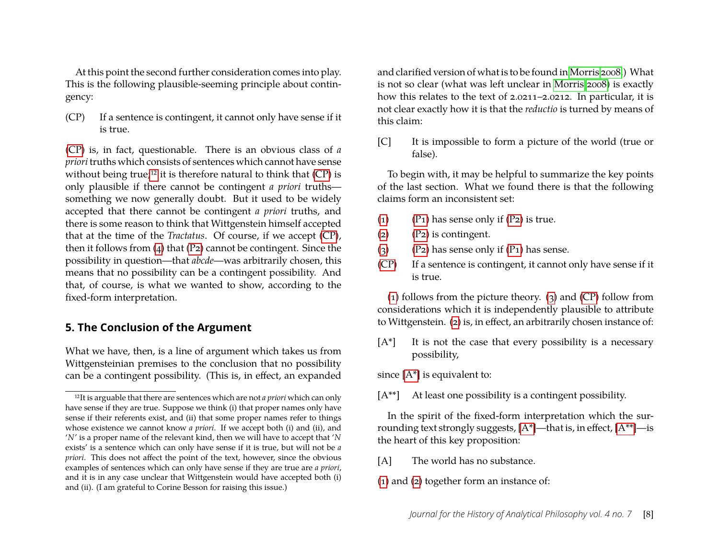At this point the second further consideration comes into play. This is the following plausible-seeming principle about contingency:

<span id="page-8-0"></span>(CP) If a sentence is contingent, it cannot only have sense if it is true.

[\(CP\)](#page-8-0) is, in fact, questionable. There is an obvious class of *a priori* truths which consists of sentences which cannot have sense without being true;<sup>[12](#page-8-1)</sup> it is therefore natural to think that  $(CP)$  is only plausible if there cannot be contingent *a priori* truths something we now generally doubt. But it used to be widely accepted that there cannot be contingent *a priori* truths, and there is some reason to think that Wittgenstein himself accepted that at the time of the *Tractatus*. Of course, if we accept [\(CP\)](#page-8-0), then it follows from  $(4)$  that  $(P2)$  cannot be contingent. Since the possibility in question—that *abcde*—was arbitrarily chosen, this means that no possibility can be a contingent possibility. And that, of course, is what we wanted to show, according to the fixed-form interpretation.

## **5. The Conclusion of the Argument**

What we have, then, is a line of argument which takes us from Wittgensteinian premises to the conclusion that no possibility can be a contingent possibility. (This is, in effect, an expanded and clarified version of what is to be found in [Morris 2008.](#page-13-0)) What is not so clear (what was left unclear in [Morris 2008\)](#page-13-0) is exactly how this relates to the text of 2.0211–2.0212. In particular, it is not clear exactly how it is that the *reductio* is turned by means of this claim:

<span id="page-8-4"></span>[C] It is impossible to form a picture of the world (true or false).

To begin with, it may be helpful to summarize the key points of the last section. What we found there is that the following claims form an inconsistent set:

- [\(1\)](#page-7-0) (P<sub>1</sub>) has sense only if  $(P_2)$  is true.
- [\(2\)](#page-7-2) [\(P2\)](#page-6-5) is contingent.
- [\(3\)](#page-7-5)  $(P_2)$  has sense only if  $(P_1)$  has sense.
- [\(CP\)](#page-8-0) If a sentence is contingent, it cannot only have sense if it is true.

[\(1\)](#page-7-0) follows from the picture theory. [\(3\)](#page-7-5) and [\(CP\)](#page-8-0) follow from considerations which it is independently plausible to attribute to Wittgenstein. [\(2\)](#page-7-2) is, in effect, an arbitrarily chosen instance of:

<span id="page-8-2"></span> $[A^*]$  It is not the case that every possibility is a necessary possibility,

since [\[A\\*\]](#page-8-2) is equivalent to:

<span id="page-8-3"></span>[A\*\*] At least one possibility is a contingent possibility.

In the spirit of the fixed-form interpretation which the surrounding text strongly suggests,  $[A^*]$ —that is, in effect,  $[A^{**}]$ —is the heart of this key proposition:

[A] The world has no substance.

[\(1\)](#page-7-0) and [\(2\)](#page-7-2) together form an instance of:

<span id="page-8-1"></span><sup>12</sup>It is arguable that there are sentences which are not *a priori* which can only have sense if they are true. Suppose we think (i) that proper names only have sense if their referents exist, and (ii) that some proper names refer to things whose existence we cannot know *a priori*. If we accept both (i) and (ii), and '*N*' is a proper name of the relevant kind, then we will have to accept that '*N* exists' is a sentence which can only have sense if it is true, but will not be *a priori*. This does not affect the point of the text, however, since the obvious examples of sentences which can only have sense if they are true are *a priori*, and it is in any case unclear that Wittgenstein would have accepted both (i) and (ii). (I am grateful to Corine Besson for raising this issue.)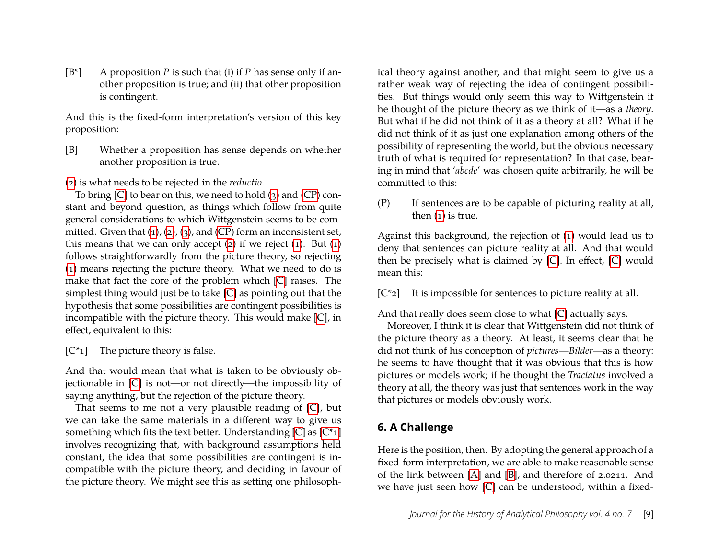[B\*] A proposition *P* is such that (i) if *P* has sense only if another proposition is true; and (ii) that other proposition is contingent.

And this is the fixed-form interpretation's version of this key proposition:

[B] Whether a proposition has sense depends on whether another proposition is true.

[\(2\)](#page-7-2) is what needs to be rejected in the *reductio*.

To bring  $[C]$  to bear on this, we need to hold  $(3)$  and  $(CP)$  constant and beyond question, as things which follow from quite general considerations to which Wittgenstein seems to be committed. Given that  $(1)$ ,  $(2)$ ,  $(3)$ , and  $(CP)$  form an inconsistent set, this means that we can only accept  $(2)$  if we reject  $(1)$ . But  $(1)$ follows straightforwardly from the picture theory, so rejecting [\(1\)](#page-7-0) means rejecting the picture theory. What we need to do is make that fact the core of the problem which [\[C\]](#page-4-0) raises. The simplest thing would just be to take [\[C\]](#page-4-0) as pointing out that the hypothesis that some possibilities are contingent possibilities is incompatible with the picture theory. This would make [\[C\]](#page-4-0), in effect, equivalent to this:

<span id="page-9-0"></span>[C\*1] The picture theory is false.

And that would mean that what is taken to be obviously objectionable in [\[C\]](#page-4-0) is not—or not directly—the impossibility of saying anything, but the rejection of the picture theory.

That seems to me not a very plausible reading of [\[C\]](#page-8-4), but we can take the same materials in a different way to give us something which fits the text better. Understanding  $[C]$  as  $[C^*1]$ involves recognizing that, with background assumptions held constant, the idea that some possibilities are contingent is incompatible with the picture theory, and deciding in favour of the picture theory. We might see this as setting one philosophical theory against another, and that might seem to give us a rather weak way of rejecting the idea of contingent possibilities. But things would only seem this way to Wittgenstein if he thought of the picture theory as we think of it—as a *theory*. But what if he did not think of it as a theory at all? What if he did not think of it as just one explanation among others of the possibility of representing the world, but the obvious necessary truth of what is required for representation? In that case, bearing in mind that '*abcde*' was chosen quite arbitrarily, he will be committed to this:

(P) If sentences are to be capable of picturing reality at all, then [\(1\)](#page-7-0) is true.

Against this background, the rejection of [\(1\)](#page-7-0) would lead us to deny that sentences can picture reality at all. And that would then be precisely what is claimed by [\[C\]](#page-8-4). In effect, [\[C\]](#page-8-4) would mean this:

 $[C^*z]$  It is impossible for sentences to picture reality at all.

And that really does seem close to what [\[C\]](#page-8-4) actually says.

Moreover, I think it is clear that Wittgenstein did not think of the picture theory as a theory. At least, it seems clear that he did not think of his conception of *pictures*—*Bilder*—as a theory: he seems to have thought that it was obvious that this is how pictures or models work; if he thought the *Tractatus* involved a theory at all, the theory was just that sentences work in the way that pictures or models obviously work.

## **6. A Challenge**

Here is the position, then. By adopting the general approach of a fixed-form interpretation, we are able to make reasonable sense of the link between [\[A\]](#page-3-2) and [\[B\]](#page-4-1), and therefore of 2.0211. And we have just seen how [\[C\]](#page-4-0) can be understood, within a fixed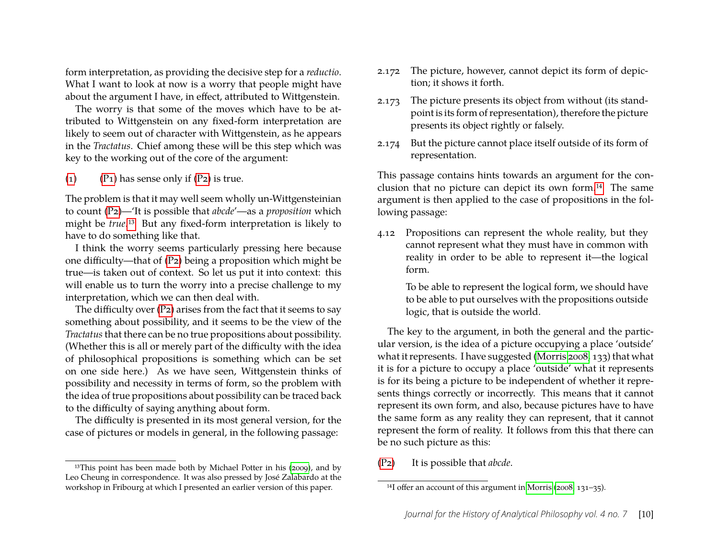form interpretation, as providing the decisive step for a *reductio*. What I want to look at now is a worry that people might have about the argument I have, in effect, attributed to Wittgenstein.

The worry is that some of the moves which have to be attributed to Wittgenstein on any fixed-form interpretation are likely to seem out of character with Wittgenstein, as he appears in the *Tractatus*. Chief among these will be this step which was key to the working out of the core of the argument:

[\(1\)](#page-7-0) (P<sub>1</sub>) has sense only if  $(P_2)$  is true.

The problem is that it may well seem wholly un-Wittgensteinian to count [\(P2\)](#page-6-5)—'It is possible that *abcde*'—as a *proposition* which might be *true*.[13](#page-10-0) But any fixed-form interpretation is likely to have to do something like that.

I think the worry seems particularly pressing here because one difficulty—that of [\(P2\)](#page-6-5) being a proposition which might be true—is taken out of context. So let us put it into context: this will enable us to turn the worry into a precise challenge to my interpretation, which we can then deal with.

The difficulty over  $(P_2)$  arises from the fact that it seems to say something about possibility, and it seems to be the view of the *Tractatus*that there can be no true propositions about possibility. (Whether this is all or merely part of the difficulty with the idea of philosophical propositions is something which can be set on one side here.) As we have seen, Wittgenstein thinks of possibility and necessity in terms of form, so the problem with the idea of true propositions about possibility can be traced back to the difficulty of saying anything about form.

The difficulty is presented in its most general version, for the case of pictures or models in general, in the following passage:

- 2.172 The picture, however, cannot depict its form of depiction; it shows it forth.
- 2.173 The picture presents its object from without (its standpoint is its form of representation), therefore the picture presents its object rightly or falsely.
- 2.174 But the picture cannot place itself outside of its form of representation.

This passage contains hints towards an argument for the conclusion that no picture can depict its own form.[14](#page-10-1) The same argument is then applied to the case of propositions in the following passage:

4.12 Propositions can represent the whole reality, but they cannot represent what they must have in common with reality in order to be able to represent it—the logical form.

> To be able to represent the logical form, we should have to be able to put ourselves with the propositions outside logic, that is outside the world.

The key to the argument, in both the general and the particular version, is the idea of a picture occupying a place 'outside' what it represents. I have suggested [\(Morris 2008,](#page-13-0) 133) that what it is for a picture to occupy a place 'outside' what it represents is for its being a picture to be independent of whether it represents things correctly or incorrectly. This means that it cannot represent its own form, and also, because pictures have to have the same form as any reality they can represent, that it cannot represent the form of reality. It follows from this that there can be no such picture as this:

[\(P2\)](#page-6-5) It is possible that *abcde*.

<span id="page-10-0"></span><sup>&</sup>lt;sup>13</sup>This point has been made both by Michael Potter in his [\(2009\)](#page-13-5), and by Leo Cheung in correspondence. It was also pressed by José Zalabardo at the workshop in Fribourg at which I presented an earlier version of this paper.

<span id="page-10-1"></span><sup>14</sup>I offer an account of this argument in [Morris \(2008,](#page-13-0) 131–35).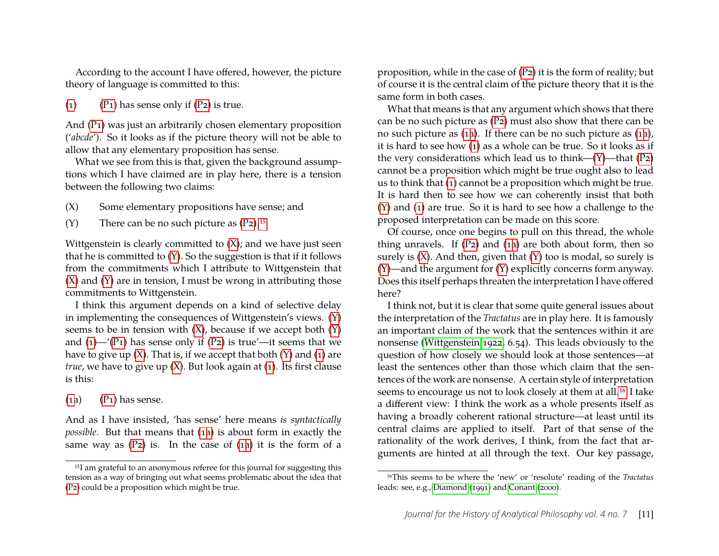According to the account I have offered, however, the picture theory of language is committed to this:

[\(1\)](#page-7-0)  $(P_1)$  has sense only if  $(P_2)$  is true.

And [\(P1\)](#page-6-4) was just an arbitrarily chosen elementary proposition ('*abcde*'). So it looks as if the picture theory will not be able to allow that any elementary proposition has sense.

What we see from this is that, given the background assumptions which I have claimed are in play here, there is a tension between the following two claims:

- (X) Some elementary propositions have sense; and
- <span id="page-11-2"></span><span id="page-11-1"></span>(Y) There can be no such picture as  $(P_2)$ .<sup>[15](#page-11-0)</sup>

Wittgenstein is clearly committed to  $(X)$ ; and we have just seen that he is committed to [\(Y\)](#page-11-2). So the suggestion is that if it follows from the commitments which I attribute to Wittgenstein that  $(X)$  and  $(Y)$  are in tension, I must be wrong in attributing those commitments to Wittgenstein.

I think this argument depends on a kind of selective delay in implementing the consequences of Wittgenstein's views. [\(Y\)](#page-11-2) seems to be in tension with  $(X)$ , because if we accept both  $(Y)$ and  $(1)$ —'(P<sub>1</sub>) has sense only if (P<sub>2</sub>) is true'—it seems that we have to give up  $(X)$ . That is, if we accept that both  $(Y)$  and  $(1)$  are *true*, we have to give up [\(X\)](#page-11-1). But look again at [\(1\)](#page-7-0). Its first clause is this:

<span id="page-11-3"></span> $(1a)$  $(1a)$   $(P_1)$  has sense.

And as I have insisted, 'has sense' here means *is syntactically possible*. But that means that [\(1a\)](#page-11-3) is about form in exactly the same way as  $(P_2)$  is. In the case of  $(1a)$  it is the form of a

proposition, while in the case of [\(P2\)](#page-6-5) it is the form of reality; but of course it is the central claim of the picture theory that it is the same form in both cases.

What that means is that any argument which shows that there can be no such picture as [\(P2\)](#page-6-5) must also show that there can be no such picture as [\(1a\)](#page-11-3). If there can be no such picture as [\(1a\)](#page-11-3), it is hard to see how [\(1\)](#page-7-0) as a whole can be true. So it looks as if the very considerations which lead us to think—[\(Y\)](#page-11-2)—that [\(P2\)](#page-6-5) cannot be a proposition which might be true ought also to lead us to think that [\(1\)](#page-7-0) cannot be a proposition which might be true. It is hard then to see how we can coherently insist that both [\(Y\)](#page-11-2) and [\(1\)](#page-7-0) are true. So it is hard to see how a challenge to the proposed interpretation can be made on this score.

Of course, once one begins to pull on this thread, the whole thing unravels. If [\(P2\)](#page-6-5) and [\(1a\)](#page-11-3) are both about form, then so surely is  $(X)$ . And then, given that  $(Y)$  too is modal, so surely is [\(Y\)](#page-11-2)—and the argument for [\(Y\)](#page-11-2) explicitly concerns form anyway. Does this itself perhaps threaten the interpretation I have offered here?

I think not, but it is clear that some quite general issues about the interpretation of the *Tractatus* are in play here. It is famously an important claim of the work that the sentences within it are nonsense [\(Wittgenstein 1922,](#page-13-1) 6.54). This leads obviously to the question of how closely we should look at those sentences—at least the sentences other than those which claim that the sentences of the work are nonsense. A certain style of interpretation seems to encourage us not to look closely at them at all.[16](#page-11-4) I take a different view: I think the work as a whole presents itself as having a broadly coherent rational structure—at least until its central claims are applied to itself. Part of that sense of the rationality of the work derives, I think, from the fact that arguments are hinted at all through the text. Our key passage,

<span id="page-11-0"></span><sup>15</sup>I am grateful to an anonymous referee for this journal for suggesting this tension as a way of bringing out what seems problematic about the idea that [\(P2\)](#page-6-5) could be a proposition which might be true.

<span id="page-11-4"></span><sup>16</sup>This seems to be where the 'new' or 'resolute' reading of the *Tractatus* leads: see, e.g., [Diamond \(1991\)](#page-13-6) and [Conant \(2000\)](#page-13-7).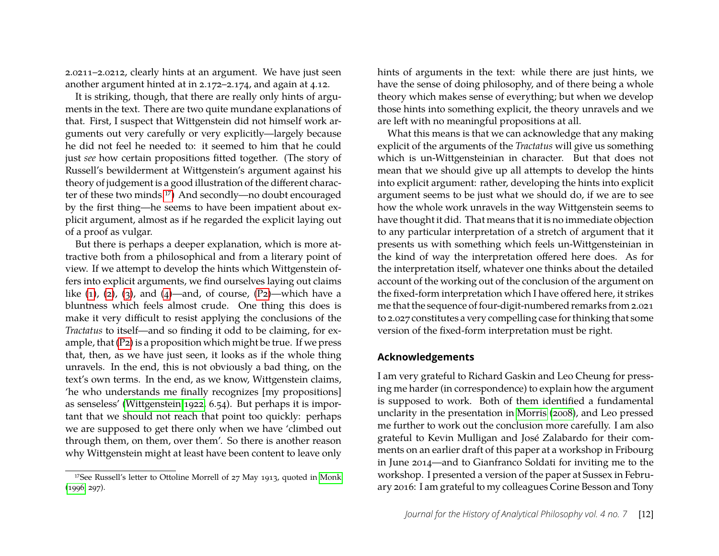2.0211–2.0212, clearly hints at an argument. We have just seen another argument hinted at in 2.172–2.174, and again at 4.12.

It is striking, though, that there are really only hints of arguments in the text. There are two quite mundane explanations of that. First, I suspect that Wittgenstein did not himself work arguments out very carefully or very explicitly—largely because he did not feel he needed to: it seemed to him that he could just *see* how certain propositions fitted together. (The story of Russell's bewilderment at Wittgenstein's argument against his theory of judgement is a good illustration of the different character of these two minds.[17](#page-12-0)) And secondly—no doubt encouraged by the first thing—he seems to have been impatient about explicit argument, almost as if he regarded the explicit laying out of a proof as vulgar.

But there is perhaps a deeper explanation, which is more attractive both from a philosophical and from a literary point of view. If we attempt to develop the hints which Wittgenstein offers into explicit arguments, we find ourselves laying out claims like  $(1)$ ,  $(2)$ ,  $(3)$ , and  $(4)$ —and, of course,  $(P_2)$ —which have a bluntness which feels almost crude. One thing this does is make it very difficult to resist applying the conclusions of the *Tractatus* to itself—and so finding it odd to be claiming, for example, that [\(P2\)](#page-6-5) is a proposition which might be true. If we press that, then, as we have just seen, it looks as if the whole thing unravels. In the end, this is not obviously a bad thing, on the text's own terms. In the end, as we know, Wittgenstein claims, 'he who understands me finally recognizes [my propositions] as senseless' [\(Wittgenstein 1922,](#page-13-1) 6.54). But perhaps it is important that we should not reach that point too quickly: perhaps we are supposed to get there only when we have 'climbed out through them, on them, over them'. So there is another reason why Wittgenstein might at least have been content to leave only hints of arguments in the text: while there are just hints, we have the sense of doing philosophy, and of there being a whole theory which makes sense of everything; but when we develop those hints into something explicit, the theory unravels and we are left with no meaningful propositions at all.

What this means is that we can acknowledge that any making explicit of the arguments of the *Tractatus* will give us something which is un-Wittgensteinian in character. But that does not mean that we should give up all attempts to develop the hints into explicit argument: rather, developing the hints into explicit argument seems to be just what we should do, if we are to see how the whole work unravels in the way Wittgenstein seems to have thought it did. That means that it is no immediate objection to any particular interpretation of a stretch of argument that it presents us with something which feels un-Wittgensteinian in the kind of way the interpretation offered here does. As for the interpretation itself, whatever one thinks about the detailed account of the working out of the conclusion of the argument on the fixed-form interpretation which I have offered here, it strikes me that the sequence of four-digit-numbered remarks from 2.021 to 2.027 constitutes a very compelling case for thinking that some version of the fixed-form interpretation must be right.

#### **Acknowledgements**

I am very grateful to Richard Gaskin and Leo Cheung for pressing me harder (in correspondence) to explain how the argument is supposed to work. Both of them identified a fundamental unclarity in the presentation in [Morris \(2008\)](#page-13-0), and Leo pressed me further to work out the conclusion more carefully. I am also grateful to Kevin Mulligan and José Zalabardo for their comments on an earlier draft of this paper at a workshop in Fribourg in June 2014—and to Gianfranco Soldati for inviting me to the workshop. I presented a version of the paper at Sussex in February 2016: I am grateful to my colleagues Corine Besson and Tony

<span id="page-12-0"></span><sup>17</sup>See Russell's letter to Ottoline Morrell of 27 May 1913, quoted in [Monk](#page-13-8) [\(1996,](#page-13-8) 297).